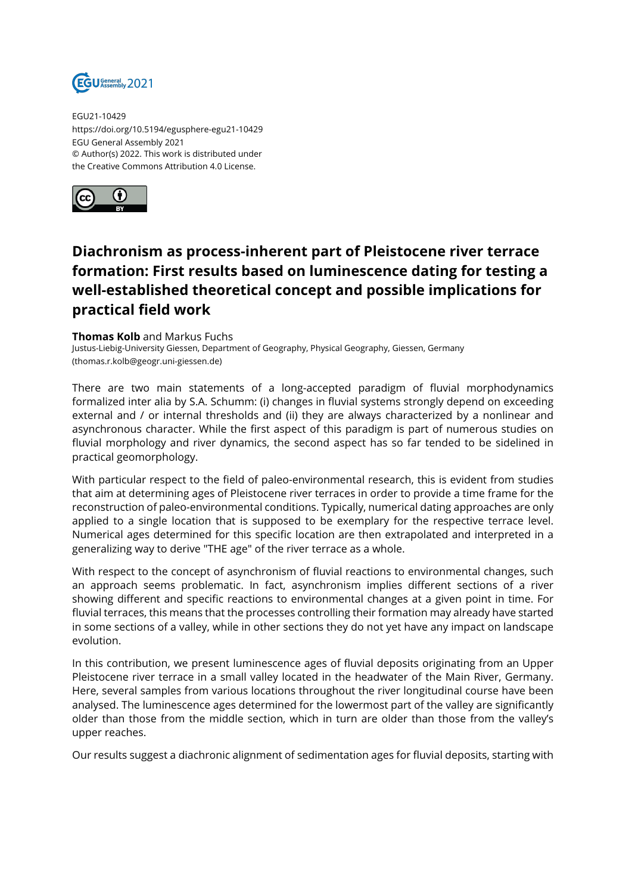

EGU21-10429 https://doi.org/10.5194/egusphere-egu21-10429 EGU General Assembly 2021 © Author(s) 2022. This work is distributed under the Creative Commons Attribution 4.0 License.



## **Diachronism as process-inherent part of Pleistocene river terrace formation: First results based on luminescence dating for testing a well-established theoretical concept and possible implications for practical field work**

## **Thomas Kolb** and Markus Fuchs

Justus-Liebig-University Giessen, Department of Geography, Physical Geography, Giessen, Germany (thomas.r.kolb@geogr.uni-giessen.de)

There are two main statements of a long-accepted paradigm of fluvial morphodynamics formalized inter alia by S.A. Schumm: (i) changes in fluvial systems strongly depend on exceeding external and / or internal thresholds and (ii) they are always characterized by a nonlinear and asynchronous character. While the first aspect of this paradigm is part of numerous studies on fluvial morphology and river dynamics, the second aspect has so far tended to be sidelined in practical geomorphology.

With particular respect to the field of paleo-environmental research, this is evident from studies that aim at determining ages of Pleistocene river terraces in order to provide a time frame for the reconstruction of paleo-environmental conditions. Typically, numerical dating approaches are only applied to a single location that is supposed to be exemplary for the respective terrace level. Numerical ages determined for this specific location are then extrapolated and interpreted in a generalizing way to derive "THE age" of the river terrace as a whole.

With respect to the concept of asynchronism of fluvial reactions to environmental changes, such an approach seems problematic. In fact, asynchronism implies different sections of a river showing different and specific reactions to environmental changes at a given point in time. For fluvial terraces, this means that the processes controlling their formation may already have started in some sections of a valley, while in other sections they do not yet have any impact on landscape evolution.

In this contribution, we present luminescence ages of fluvial deposits originating from an Upper Pleistocene river terrace in a small valley located in the headwater of the Main River, Germany. Here, several samples from various locations throughout the river longitudinal course have been analysed. The luminescence ages determined for the lowermost part of the valley are significantly older than those from the middle section, which in turn are older than those from the valley's upper reaches.

Our results suggest a diachronic alignment of sedimentation ages for fluvial deposits, starting with